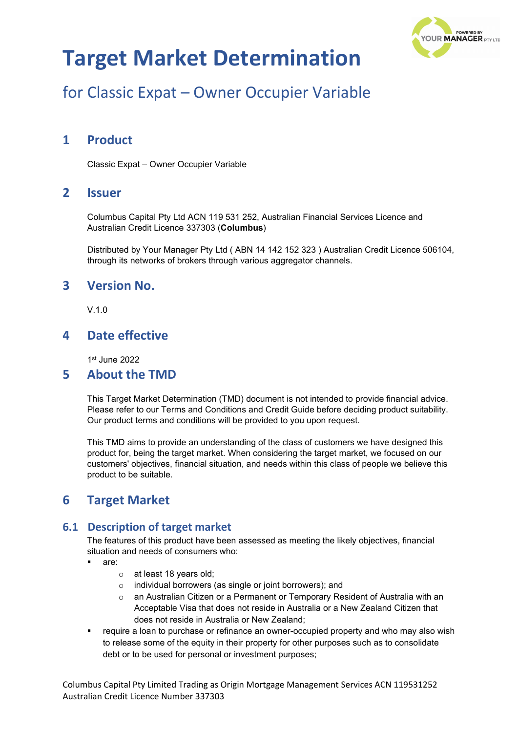

## for Classic Expat – Owner Occupier Variable

### **1 Product**

Classic Expat – Owner Occupier Variable

### **2 Issuer**

Columbus Capital Pty Ltd ACN 119 531 252, Australian Financial Services Licence and Australian Credit Licence 337303 (**Columbus**)

Distributed by Your Manager Pty Ltd ( ABN 14 142 152 323 ) Australian Credit Licence 506104, through its networks of brokers through various aggregator channels.

### **3 Version No.**

V.1.0

### **4 Date effective**

1st June 2022

#### **5 About the TMD**

This Target Market Determination (TMD) document is not intended to provide financial advice. Please refer to our Terms and Conditions and Credit Guide before deciding product suitability. Our product terms and conditions will be provided to you upon request.

This TMD aims to provide an understanding of the class of customers we have designed this product for, being the target market. When considering the target market, we focused on our customers' objectives, financial situation, and needs within this class of people we believe this product to be suitable.

### **6 Target Market**

#### **6.1 Description of target market**

The features of this product have been assessed as meeting the likely objectives, financial situation and needs of consumers who:

- are:
	- o at least 18 years old;
	- o individual borrowers (as single or joint borrowers); and
	- $\circ$  an Australian Citizen or a Permanent or Temporary Resident of Australia with an Acceptable Visa that does not reside in Australia or a New Zealand Citizen that does not reside in Australia or New Zealand;
- **•** require a loan to purchase or refinance an owner-occupied property and who may also wish to release some of the equity in their property for other purposes such as to consolidate debt or to be used for personal or investment purposes;

Columbus Capital Pty Limited Trading as Origin Mortgage Management Services ACN 119531252 Australian Credit Licence Number 337303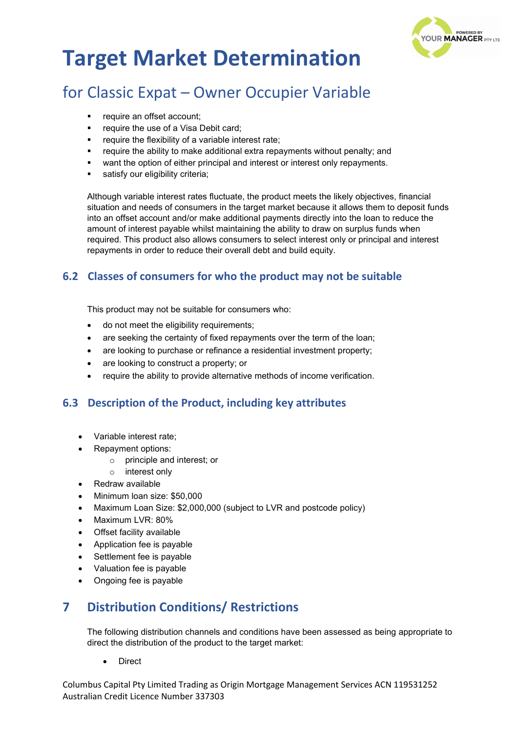

## for Classic Expat – Owner Occupier Variable

- require an offset account;
- **•** require the use of a Visa Debit card;
- require the flexibility of a variable interest rate;
- require the ability to make additional extra repayments without penalty; and
- want the option of either principal and interest or interest only repayments.
- satisfy our eligibility criteria:

Although variable interest rates fluctuate, the product meets the likely objectives, financial situation and needs of consumers in the target market because it allows them to deposit funds into an offset account and/or make additional payments directly into the loan to reduce the amount of interest payable whilst maintaining the ability to draw on surplus funds when required. This product also allows consumers to select interest only or principal and interest repayments in order to reduce their overall debt and build equity.

#### **6.2 Classes of consumers for who the product may not be suitable**

This product may not be suitable for consumers who:

- do not meet the eligibility requirements;
- are seeking the certainty of fixed repayments over the term of the loan;
- are looking to purchase or refinance a residential investment property;
- are looking to construct a property; or
- require the ability to provide alternative methods of income verification.

#### **6.3 Description of the Product, including key attributes**

- Variable interest rate;
- Repayment options:
	- o principle and interest; or
	- o interest only
- Redraw available
- Minimum loan size: \$50,000
- Maximum Loan Size: \$2,000,000 (subject to LVR and postcode policy)
- Maximum LVR: 80%
- Offset facility available
- Application fee is payable
- Settlement fee is payable
- Valuation fee is payable
- Ongoing fee is payable

### **7 Distribution Conditions/ Restrictions**

The following distribution channels and conditions have been assessed as being appropriate to direct the distribution of the product to the target market:

**Direct** 

Columbus Capital Pty Limited Trading as Origin Mortgage Management Services ACN 119531252 Australian Credit Licence Number 337303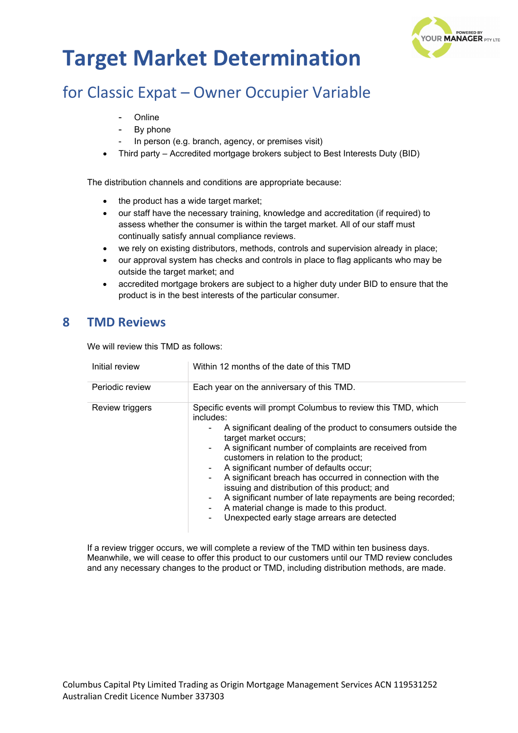

## for Classic Expat – Owner Occupier Variable

- **Online**
- By phone
- In person (e.g. branch, agency, or premises visit)
- Third party Accredited mortgage brokers subject to Best Interests Duty (BID)

The distribution channels and conditions are appropriate because:

- the product has a wide target market;
- our staff have the necessary training, knowledge and accreditation (if required) to assess whether the consumer is within the target market. All of our staff must continually satisfy annual compliance reviews.
- we rely on existing distributors, methods, controls and supervision already in place;
- our approval system has checks and controls in place to flag applicants who may be outside the target market; and
- accredited mortgage brokers are subject to a higher duty under BID to ensure that the product is in the best interests of the particular consumer.

### **8 TMD Reviews**

We will review this TMD as follows:

| Initial review  | Within 12 months of the date of this TMD                                                                                                                                                                                                                                                                                                                                                                                                                                                                                                                                                              |  |
|-----------------|-------------------------------------------------------------------------------------------------------------------------------------------------------------------------------------------------------------------------------------------------------------------------------------------------------------------------------------------------------------------------------------------------------------------------------------------------------------------------------------------------------------------------------------------------------------------------------------------------------|--|
| Periodic review | Each year on the anniversary of this TMD.                                                                                                                                                                                                                                                                                                                                                                                                                                                                                                                                                             |  |
| Review triggers | Specific events will prompt Columbus to review this TMD, which<br>includes:<br>A significant dealing of the product to consumers outside the<br>target market occurs;<br>A significant number of complaints are received from<br>customers in relation to the product;<br>A significant number of defaults occur;<br>A significant breach has occurred in connection with the<br>٠<br>issuing and distribution of this product; and<br>A significant number of late repayments are being recorded;<br>۰.<br>A material change is made to this product.<br>Unexpected early stage arrears are detected |  |

If a review trigger occurs, we will complete a review of the TMD within ten business days. Meanwhile, we will cease to offer this product to our customers until our TMD review concludes and any necessary changes to the product or TMD, including distribution methods, are made.